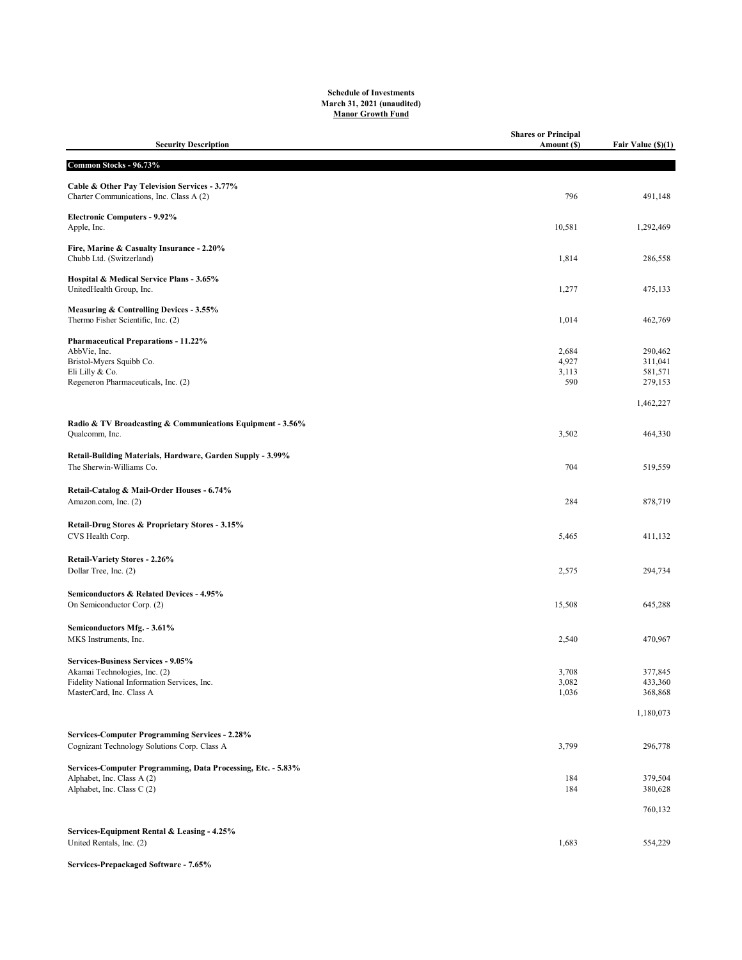## Schedule of Investments March 31, 2021 (unaudited) Manor Growth Fund

| <b>Security Description</b>                                                                                                                            | <b>Shares or Principal</b><br>Amount (\$) | Fair Value (\$)(1)                       |
|--------------------------------------------------------------------------------------------------------------------------------------------------------|-------------------------------------------|------------------------------------------|
| Common Stocks - 96.73%                                                                                                                                 |                                           |                                          |
| Cable & Other Pay Television Services - 3.77%<br>Charter Communications, Inc. Class A (2)                                                              | 796                                       | 491,148                                  |
| <b>Electronic Computers - 9.92%</b><br>Apple, Inc.                                                                                                     | 10,581                                    | 1,292,469                                |
| Fire, Marine & Casualty Insurance - 2.20%<br>Chubb Ltd. (Switzerland)                                                                                  | 1,814                                     | 286,558                                  |
| Hospital & Medical Service Plans - 3.65%<br>UnitedHealth Group, Inc.                                                                                   | 1,277                                     | 475,133                                  |
| Measuring & Controlling Devices - 3.55%<br>Thermo Fisher Scientific, Inc. (2)                                                                          | 1,014                                     | 462,769                                  |
| <b>Pharmaceutical Preparations - 11.22%</b><br>AbbVie, Inc.<br>Bristol-Myers Squibb Co.<br>Eli Lilly & Co.<br>Regeneron Pharmaceuticals, Inc. (2)      | 2,684<br>4,927<br>3,113<br>590            | 290,462<br>311,041<br>581,571<br>279,153 |
| Radio & TV Broadcasting & Communications Equipment - 3.56%<br>Qualcomm, Inc.                                                                           |                                           | 1,462,227<br>464,330                     |
|                                                                                                                                                        | 3,502                                     |                                          |
| Retail-Building Materials, Hardware, Garden Supply - 3.99%<br>The Sherwin-Williams Co.                                                                 | 704                                       | 519,559                                  |
| Retail-Catalog & Mail-Order Houses - 6.74%<br>Amazon.com, Inc. (2)                                                                                     | 284                                       | 878,719                                  |
| Retail-Drug Stores & Proprietary Stores - 3.15%<br>CVS Health Corp.                                                                                    | 5,465                                     | 411,132                                  |
| Retail-Variety Stores - 2.26%<br>Dollar Tree, Inc. (2)                                                                                                 | 2,575                                     | 294,734                                  |
| Semiconductors & Related Devices - 4.95%<br>On Semiconductor Corp. (2)                                                                                 | 15,508                                    | 645,288                                  |
| Semiconductors Mfg. - 3.61%<br>MKS Instruments, Inc.                                                                                                   | 2,540                                     | 470,967                                  |
| <b>Services-Business Services - 9.05%</b><br>Akamai Technologies, Inc. (2)<br>Fidelity National Information Services, Inc.<br>MasterCard, Inc. Class A | 3,708<br>3,082<br>1,036                   | 377,845<br>433,360<br>368,868            |
|                                                                                                                                                        |                                           | 1,180,073                                |
| <b>Services-Computer Programming Services - 2.28%</b><br>Cognizant Technology Solutions Corp. Class A                                                  | 3,799                                     | 296,778                                  |
| Services-Computer Programming, Data Processing, Etc. - 5.83%<br>Alphabet, Inc. Class A (2)<br>Alphabet, Inc. Class C (2)                               | 184<br>184                                | 379,504<br>380,628                       |
|                                                                                                                                                        |                                           | 760,132                                  |
| Services-Equipment Rental & Leasing - 4.25%<br>United Rentals, Inc. (2)                                                                                | 1,683                                     | 554,229                                  |

## Services-Prepackaged Software - 7.65%